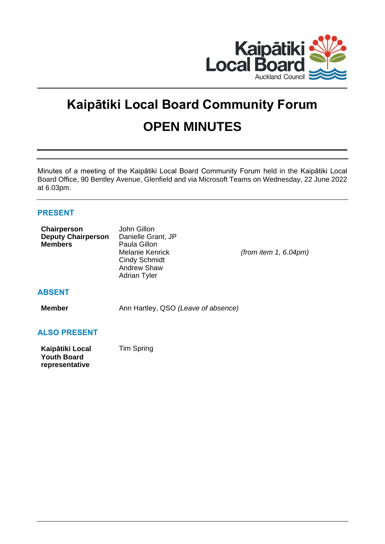

# **Kaipātiki Local Board Community Forum OPEN MINUTES**

Minutes of a meeting of the Kaipātiki Local Board Community Forum held in the Kaipātiki Local Board Office, 90 Bentley Avenue, Glenfield and via Microsoft Teams on Wednesday, 22 June 2022 at 6.03pm.

# **PRESENT**

**Youth Board representative**

| Chairperson<br><b>Deputy Chairperson</b><br><b>Members</b> | John Gillon<br>Danielle Grant, JP<br>Paula Gillon<br><b>Melanie Kenrick</b><br><b>Cindy Schmidt</b><br>Andrew Shaw<br><b>Adrian Tyler</b> | (from item 1, $6.04$ pm) |
|------------------------------------------------------------|-------------------------------------------------------------------------------------------------------------------------------------------|--------------------------|
| <b>ABSENT</b>                                              |                                                                                                                                           |                          |
| <b>Member</b>                                              | Ann Hartley, QSO (Leave of absence)                                                                                                       |                          |
| <b>ALSO PRESENT</b>                                        |                                                                                                                                           |                          |
| Kaipātiki Local                                            | <b>Tim Spring</b>                                                                                                                         |                          |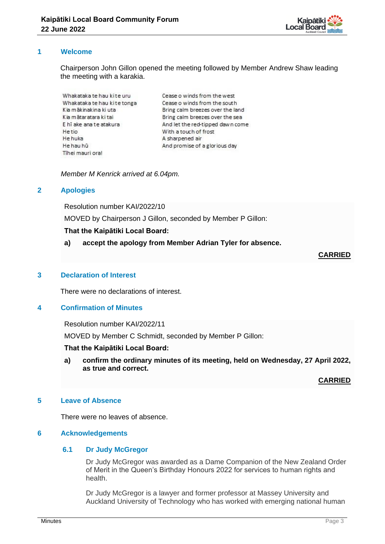

## **1 Welcome**

Chairperson John Gillon opened the meeting followed by Member Andrew Shaw leading the meeting with a karakia.

Whakataka te hau kite uru Whakataka te hau kite tonga Kia mākinakina ki uta Kia mātaratara ki tai E hī ake ana te atakura Hetin He huka He hau hū Tihei mauri ora!

Cease o winds from the west Cease o winds from the south Bring calm breezes over the land Bring calm breezes over the sea And let the red-tipped dawn come With a touch of frost A sharpened air And promise of a glorious day

*Member M Kenrick arrived at 6.04pm.* 

## **2 Apologies**

Resolution number KAI/2022/10

MOVED by Chairperson J Gillon, seconded by Member P Gillon:

#### **That the Kaipātiki Local Board:**

**a) accept the apology from Member Adrian Tyler for absence.** 

## **CARRIED**

### **3 Declaration of Interest**

There were no declarations of interest.

## **4 Confirmation of Minutes**

Resolution number KAI/2022/11

MOVED by Member C Schmidt, seconded by Member P Gillon:

#### **That the Kaipātiki Local Board:**

**a) confirm the ordinary minutes of its meeting, held on Wednesday, 27 April 2022, as true and correct.**

#### **CARRIED**

#### **5 Leave of Absence**

There were no leaves of absence.

#### **6 Acknowledgements**

# **6.1 Dr Judy McGregor**

Dr Judy McGregor was awarded as a Dame Companion of the New Zealand Order of Merit in the Queen's Birthday Honours 2022 for services to human rights and health.

Dr Judy McGregor is a lawyer and former professor at Massey University and Auckland University of Technology who has worked with emerging national human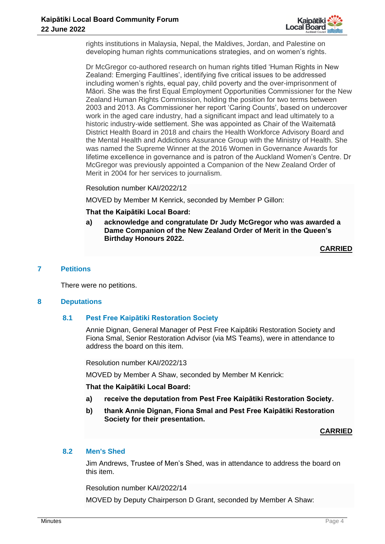

rights institutions in Malaysia, Nepal, the Maldives, Jordan, and Palestine on developing human rights communications strategies, and on women's rights.

Dr McGregor co-authored research on human rights titled 'Human Rights in New Zealand: Emerging Faultlines', identifying five critical issues to be addressed including women's rights, equal pay, child poverty and the over-imprisonment of Māori. She was the first Equal Employment Opportunities Commissioner for the New Zealand Human Rights Commission, holding the position for two terms between 2003 and 2013. As Commissioner her report 'Caring Counts', based on undercover work in the aged care industry, had a significant impact and lead ultimately to a historic industry-wide settlement. She was appointed as Chair of the Waitematā District Health Board in 2018 and chairs the Health Workforce Advisory Board and the Mental Health and Addictions Assurance Group with the Ministry of Health. She was named the Supreme Winner at the 2016 Women in Governance Awards for lifetime excellence in governance and is patron of the Auckland Women's Centre. Dr McGregor was previously appointed a Companion of the New Zealand Order of Merit in 2004 for her services to journalism.

#### Resolution number KAI/2022/12

MOVED by Member M Kenrick, seconded by Member P Gillon:

#### **That the Kaipātiki Local Board:**

**a) acknowledge and congratulate Dr Judy McGregor who was awarded a Dame Companion of the New Zealand Order of Merit in the Queen's Birthday Honours 2022.**

**CARRIED**

#### **7 Petitions**

There were no petitions.

#### **8 Deputations**

#### **8.1 Pest Free Kaipātiki Restoration Society**

Annie Dignan, General Manager of Pest Free Kaipātiki Restoration Society and Fiona Smal, Senior Restoration Advisor (via MS Teams), were in attendance to address the board on this item.

Resolution number KAI/2022/13

MOVED by Member A Shaw, seconded by Member M Kenrick:

#### **That the Kaipātiki Local Board:**

- **a) receive the deputation from Pest Free Kaipātiki Restoration Society.**
- **b) thank Annie Dignan, Fiona Smal and Pest Free Kaipātiki Restoration Society for their presentation.**

**CARRIED**

## **8.2 Men's Shed**

Jim Andrews, Trustee of Men's Shed, was in attendance to address the board on this item.

Resolution number KAI/2022/14

MOVED by Deputy Chairperson D Grant, seconded by Member A Shaw: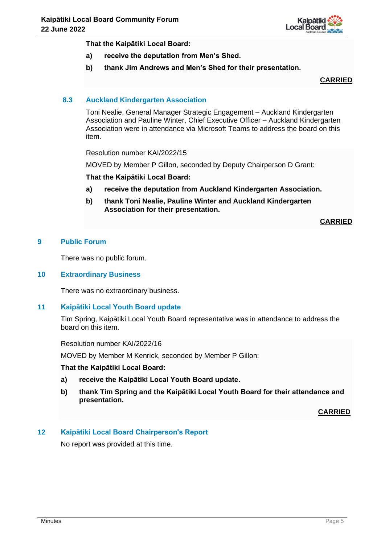

**That the Kaipātiki Local Board:**

- **a) receive the deputation from Men's Shed.**
- **b) thank Jim Andrews and Men's Shed for their presentation.**

**CARRIED**

# **8.3 Auckland Kindergarten Association**

Toni Nealie, General Manager Strategic Engagement – Auckland Kindergarten Association and Pauline Winter, Chief Executive Officer – Auckland Kindergarten Association were in attendance via Microsoft Teams to address the board on this item.

Resolution number KAI/2022/15

MOVED by Member P Gillon, seconded by Deputy Chairperson D Grant:

**That the Kaipātiki Local Board:**

- **a) receive the deputation from Auckland Kindergarten Association.**
- **b) thank Toni Nealie, Pauline Winter and Auckland Kindergarten Association for their presentation.**

**CARRIED**

### **9 Public Forum**

There was no public forum.

#### **10 Extraordinary Business**

There was no extraordinary business.

#### **11 Kaipātiki Local Youth Board update**

Tim Spring, Kaipātiki Local Youth Board representative was in attendance to address the board on this item.

Resolution number KAI/2022/16

MOVED by Member M Kenrick, seconded by Member P Gillon:

#### **That the Kaipātiki Local Board:**

- **a) receive the Kaipātiki Local Youth Board update.**
- **b) thank Tim Spring and the Kaipātiki Local Youth Board for their attendance and presentation.**

**CARRIED**

#### **12 Kaipātiki Local Board Chairperson's Report**

No report was provided at this time.